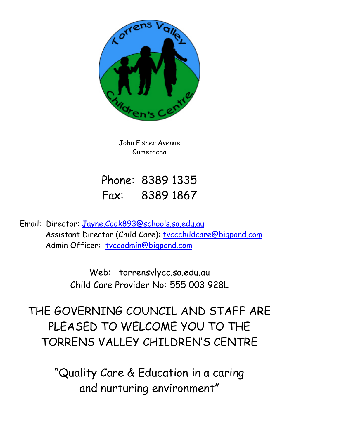

John Fisher Avenue Gumeracha

Phone: 8389 1335 Fax: 8389 1867

Email: Director: [Jayne.Cook893@schools.sa.edu.au](mailto:Jayne.Cook893@schools.sa.edu.au) Assistant Director (Child Care): [tvccchildcare@bigpond.com](mailto:tvccchildcare@bigpond.com) Admin Officer: [tvccadmin@bigpond.com](mailto:tvccadmin@bigpond.com)

> Web: torrensvlycc.sa.edu.au Child Care Provider No: 555 003 928L

THE GOVERNING COUNCIL AND STAFF ARE PLEASED TO WELCOME YOU TO THE TORRENS VALLEY CHILDREN'S CENTRE

> "Quality Care & Education in a caring and nurturing environment"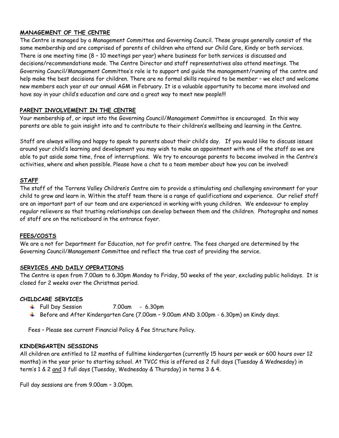## **MANAGEMENT OF THE CENTRE**

The Centre is managed by a Management Committee and Governing Council. These groups generally consist of the same membership and are comprised of parents of children who attend our Child Care, Kindy or both services. There is one meeting time (8 – 10 meetings per year) where business for both services is discussed and decisions/recommendations made. The Centre Director and staff representatives also attend meetings. The Governing Council/Management Committee's role is to support and guide the management/running of the centre and help make the best decisions for children. There are no formal skills required to be member – we elect and welcome new members each year at our annual AGM in February. It is a valuable opportunity to become more involved and have say in your child's education and care and a great way to meet new people!!!

## **PARENT INVOLVEMENT IN THE CENTRE**

Your membership of, or input into the Governing Council/Management Committee is encouraged. In this way parents are able to gain insight into and to contribute to their children's wellbeing and learning in the Centre.

Staff are always willing and happy to speak to parents about their child's day. If you would like to discuss issues around your child's learning and development you may wish to make an appointment with one of the staff so we are able to put aside some time, free of interruptions. We try to encourage parents to become involved in the Centre's activities, where and when possible. Please have a chat to a team member about how you can be involved!

#### **STAFF**

The staff of the Torrens Valley Children's Centre aim to provide a stimulating and challenging environment for your child to grow and learn in. Within the staff team there is a range of qualifications and experience. Our relief staff are an important part of our team and are experienced in working with young children. We endeavour to employ regular relievers so that trusting relationships can develop between them and the children. Photographs and names of staff are on the noticeboard in the entrance foyer.

#### **FEES/COSTS**

We are a not for Department for Education, not for profit centre. The fees charged are determined by the Governing Council/Management Committee and reflect the true cost of providing the service.

#### **SERVICES AND DAILY OPERATIONS**

The Centre is open from 7.00am to 6.30pm Monday to Friday, 50 weeks of the year, excluding public holidays. It is closed for 2 weeks over the Christmas period.

#### **CHILDCARE SERVICES**

- Full Day Session 7.00am 6.30pm
- Before and After Kindergarten Care (7.00am 9.00am AND 3.00pm 6.30pm) on Kindy days.

Fees – Please see current Financial Policy & Fee Structure Policy.

#### **KINDERGARTEN SESSIONS**

All children are entitled to 12 months of fulltime kindergarten (currently 15 hours per week or 600 hours over 12 months) in the year prior to starting school. At TVCC this is offered as 2 full days (Tuesday & Wednesday) in term's 1 & 2 and 3 full days (Tuesday, Wednesday & Thursday) in terms 3 & 4.

Full day sessions are from 9.00am – 3.00pm.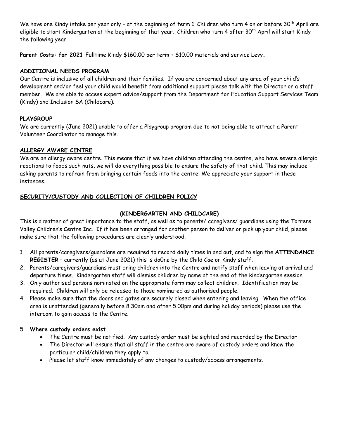We have one Kindy intake per year only - at the beginning of term 1. Children who turn 4 on or before 30<sup>th</sup> April are eligible to start Kindergarten at the beginning of that year. Children who turn 4 after 30<sup>th</sup> April will start Kindy the following year

**Parent Costs: for 2021** Fulltime Kindy \$160.00 per term + \$10.00 materials and service Levy**.**

# **ADDITIONAL NEEDS PROGRAM**

Our Centre is inclusive of all children and their families. If you are concerned about any area of your child's development and/or feel your child would benefit from additional support please talk with the Director or a staff member. We are able to access expert advice/support from the Department for Education Support Services Team (Kindy) and Inclusion SA (Childcare).

# **PLAYGROUP**

We are currently (June 2021) unable to offer a Playgroup program due to not being able to attract a Parent Volunteer Coordinator to manage this.

# **ALLERGY AWARE CENTRE**

We are an allergy aware centre. This means that if we have children attending the centre, who have severe allergic reactions to foods such nuts, we will do everything possible to ensure the safety of that child. This may include asking parents to refrain from bringing certain foods into the centre. We appreciate your support in these instances.

# **SECURITY/CUSTODY AND COLLECTION OF CHILDREN POLICY**

# **(KINDERGARTEN AND CHILDCARE)**

This is a matter of great importance to the staff, as well as to parents/ caregivers/ guardians using the Torrens Valley Children's Centre Inc. If it has been arranged for another person to deliver or pick up your child, please make sure that the following procedures are clearly understood.

- 1. All parents/caregivers/guardians are required to record daily times in and out, and to sign the **ATTENDANCE REGISTER** – currently (as at June 2021) this is do0ne by the Child Cae or Kindy staff.
- 2. Parents/caregivers/guardians must bring children into the Centre and notify staff when leaving at arrival and departure times. Kindergarten staff will dismiss children by name at the end of the kindergarten session.
- 3. Only authorised persons nominated on the appropriate form may collect children. Identification may be required. Children will only be released to those nominated as authorised people.
- 4. Please make sure that the doors and gates are securely closed when entering and leaving. When the office area is unattended (generally before 8.30am and after 5.00pm and during holiday periods) please use the intercom to gain access to the Centre.

## 5. **Where custody orders exist**

- The Centre must be notified. Any custody order must be sighted and recorded by the Director
- The Director will ensure that all staff in the centre are aware of custody orders and know the particular child/children they apply to.
- Please let staff know immediately of any changes to custody/access arrangements.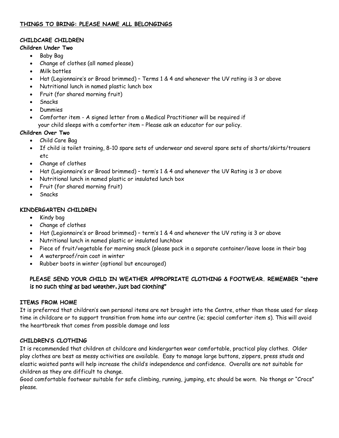# **THINGS TO BRING: PLEASE NAME ALL BELONGINGS**

### **CHILDCARE CHILDREN**

### **Children Under Two**

- Baby Bag
- Change of clothes (all named please)
- Milk bottles
- Hat (Legionnaire's or Broad brimmed) Terms 1 & 4 and whenever the UV rating is 3 or above
- Nutritional lunch in named plastic lunch box
- Fruit (for shared morning fruit)
- Snacks
- Dummies
- Comforter item A signed letter from a Medical Practitioner will be required if your child sleeps with a comforter item – Please ask an educator for our policy.

## **Children Over Two**

- Child Care Bag
- If child is toilet training, 8-10 spare sets of underwear and several spare sets of shorts/skirts/trousers etc
- Change of clothes
- Hat (Legionnaire's or Broad brimmed) term's 1 & 4 and whenever the UV Rating is 3 or above
- Nutritional lunch in named plastic or insulated lunch box
- Fruit (for shared morning fruit)
- Snacks

# **KINDERGARTEN CHILDREN**

- Kindy bag
- Change of clothes
- Hat (Legionnaire's or Broad brimmed) term's 1 & 4 and whenever the UV rating is 3 or above
- Nutritional lunch in named plastic or insulated lunchbox
- Piece of fruit/vegetable for morning snack (please pack in a separate container/leave loose in their bag
- A waterproof/rain coat in winter
- Rubber boots in winter (optional but encouraged)

# **PLEASE SEND YOUR CHILD IN WEATHER APPROPRIATE CLOTHING & FOOTWEAR. REMEMBER "**there is no such thing as bad weather, just bad clothing"

## **ITEMS FROM HOME**

It is preferred that children's own personal items are not brought into the Centre, other than those used for sleep time in childcare or to support transition from home into our centre (ie; special comforter item s). This will avoid the heartbreak that comes from possible damage and loss

# **CHILDREN'S CLOTHING**

It is recommended that children at childcare and kindergarten wear comfortable, practical play clothes. Older play clothes are best as messy activities are available. Easy to manage large buttons, zippers, press studs and elastic waisted pants will help increase the child's independence and confidence. Overalls are not suitable for children as they are difficult to change.

Good comfortable footwear suitable for safe climbing, running, jumping, etc should be worn. No thongs or "Crocs" please.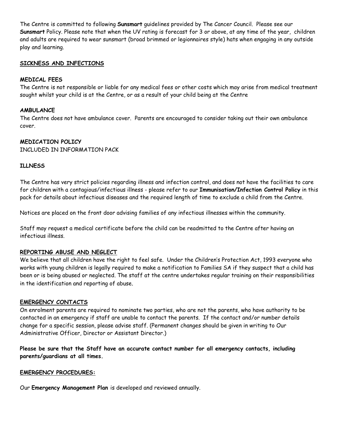The Centre is committed to following **Sunsmart** guidelines provided by The Cancer Council. Please see our **Sunsmart** Policy. Please note that when the UV rating is forecast for 3 or above, at any time of the year, children and adults are required to wear sunsmart (broad brimmed or legionnaires style) hats when engaging in any outside play and learning.

#### **SICKNESS AND INFECTIONS**

#### **MEDICAL FEES**

The Centre is not responsible or liable for any medical fees or other costs which may arise from medical treatment sought whilst your child is at the Centre, or as a result of your child being at the Centre

#### **AMBULANCE**

The Centre does not have ambulance cover. Parents are encouraged to consider taking out their own ambulance cover.

#### **MEDICATION POLICY**

INCLUDED IN INFORMATION PACK

#### **ILLNESS**

The Centre has very strict policies regarding illness and infection control, and does not have the facilities to care for children with a contagious/infectious illness - please refer to our **Immunisation/Infection Control Policy** in this pack for details about infectious diseases and the required length of time to exclude a child from the Centre.

Notices are placed on the front door advising families of any infectious illnesses within the community.

Staff may request a medical certificate before the child can be readmitted to the Centre after having an infectious illness.

## **REPORTING ABUSE AND NEGLECT**

We believe that all children have the right to feel safe. Under the Children's Protection Act, 1993 everyone who works with young children is legally required to make a notification to Families SA if they suspect that a child has been or is being abused or neglected. The staff at the centre undertakes regular training on their responsibilities in the identification and reporting of abuse.

## **EMERGENCY CONTACTS**

On enrolment parents are required to nominate two parties, who are not the parents, who have authority to be contacted in an emergency if staff are unable to contact the parents. If the contact and/or number details change for a specific session, please advise staff. (Permanent changes should be given in writing to Our Administrative Officer, Director or Assistant Director.)

**Please be sure that the Staff have an accurate contact number for all emergency contacts, including parents/guardians at all times.**

#### **EMERGENCY PROCEDURES:**

Our **Emergency Management Plan** is developed and reviewed annually.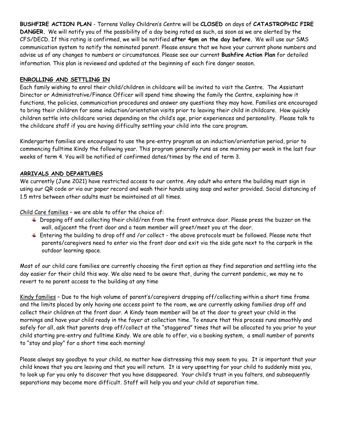**BUSHFIRE ACTION PLAN** - Torrens Valley Children's Centre will be **CLOSED** on days of **CATASTROPHIC FIRE DANGER.** We will notify you of the possibility of a day being rated as such, as soon as we are alerted by the CFS/DECD. If this rating is confirmed, we will be notified **after 4pm on the day before.** We will use our SMS communication system to notify the nominated parent. Please ensure that we have your current phone numbers and advise us of any changes to numbers or circumstances. Please see our current **Bushfire Action Plan** for detailed information. This plan is reviewed and updated at the beginning of each fire danger season.

# **ENROLLING AND SETTLING IN**

Each family wishing to enrol their child/children in childcare will be invited to visit the Centre. The Assistant Director or Administrative/Finance Officer will spend time showing the family the Centre, explaining how it functions, the policies, communication procedures and answer any questions they may have. Families are encouraged to bring their children for some induction/orientation visits prior to leaving their child in childcare. How quickly children settle into childcare varies depending on the child's age, prior experiences and personality. Please talk to the childcare staff if you are having difficulty settling your child into the care program.

Kindergarten families are encouraged to use the pre-entry program as an induction/orientation period, prior to commencing fulltime Kindy the following year. This program generally runs as one morning per week in the last four weeks of term 4. You will be notified of confirmed dates/times by the end of term 3.

# **ARRIVALS AND DEPARTURES**

We currently (June 2021) have restricted access to our centre. Any adult who enters the building must sign in using our QR code or via our paper record and wash their hands using soap and water provided. Social distancing of 1.5 mtrs between other adults must be maintained at all times.

Child Care families – we are able to offer the choice of:

- $\ddot{\phantom{1}}$  Dropping off and collecting their child/ren from the front entrance door. Please press the buzzer on the wall, adjacent the front door and a team member will greet/meet you at the door.
- Entering the building to drop off and /or collect the above protocols must be followed. Please note that parents/caregivers need to enter via the front door and exit via the side gate next to the carpark in the outdoor learning space.

Most of our child care families are currently choosing the first option as they find separation and settling into the day easier for their child this way. We also need to be aware that, during the current pandemic, we may ne to revert to no parent access to the building at any time

Kindy families – Due to the high volume of parent's/caregivers dropping off/collecting within a short time frame and the limits placed by only having one access point to the room, we are currently asking families drop off and collect their children at the front door. A Kindy team member will be at the door to greet your child in the mornings and have your child ready in the foyer at collection time. To ensure that this process runs smoothly and safely for all, ask that parents drop off/collect at the "staggered" times that will be allocated to you prior to your child starting pre-entry and fulltime Kindy. We are able to offer, via a booking system, a small number of parents to "stay and play" for a short time each morning!

Please always say goodbye to your child, no matter how distressing this may seem to you. It is important that your child knows that you are leaving and that you will return. It is very upsetting for your child to suddenly miss you, to look up for you only to discover that you have disappeared. Your child's trust in you falters, and subsequently separations may become more difficult. Staff will help you and your child at separation time.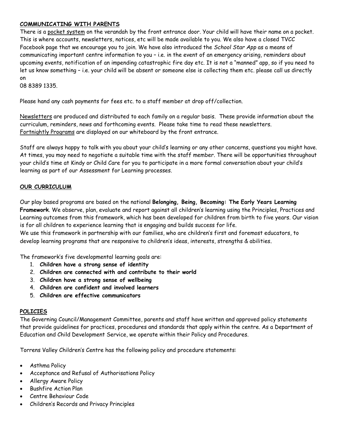# **COMMUNICATING WITH PARENTS**

There is a pocket system on the verandah by the front entrance door. Your child will have their name on a pocket. This is where accounts, newsletters, notices, etc will be made available to you. We also have a closed TVCC Facebook page that we encourage you to join. We have also introduced the *School Star App* as a means of communicating important centre information to you – i.e. in the event of an emergency arising, reminders about upcoming events, notification of an impending catastrophic fire day etc. It is not a "manned" app, so if you need to let us know something – i.e. your child will be absent or someone else is collecting them etc. please call us directly on

08 8389 1335.

Please hand any cash payments for fees etc. to a staff member at drop off/collection.

Newsletters are produced and distributed to each family on a regular basis. These provide information about the curriculum, reminders, news and forthcoming events. Please take time to read these newsletters. Fortnightly Programs are displayed on our whiteboard by the front entrance.

Staff are always happy to talk with you about your child's learning or any other concerns, questions you might have. At times, you may need to negotiate a suitable time with the staff member. There will be opportunities throughout your child's time at Kindy or Child Care for you to participate in a more formal conversation about your child's learning as part of our Assessment for Learning processes.

## **OUR CURRICULUM**

Our play based programs are based on the national **Belonging, Being, Becoming: The Early Years Learning Framework**. We observe, plan, evaluate and report against all children's learning using the Principles, Practices and Learning outcomes from this framework, which has been developed for children from birth to five years. Our vision is for all children to experience learning that is engaging and builds success for life.

We use this framework in partnership with our families, who are children's first and foremost educators, to develop learning programs that are responsive to children's ideas, interests, strengths & abilities.

The framework's five developmental learning goals are:

- 1. **Children have a strong sense of identity**
- 2. **Children are connected with and contribute to their world**
- 3. **Children have a strong sense of wellbeing**
- 4. **Children are confident and involved learners**
- 5. **Children are effective communicators**

#### **POLICIES**

The Governing Council/Management Committee, parents and staff have written and approved policy statements that provide guidelines for practices, procedures and standards that apply within the centre. As a Department of Education and Child Development Service, we operate within their Policy and Procedures.

Torrens Valley Children's Centre has the following policy and procedure statements:

- Asthma Policy
- Acceptance and Refusal of Authorisations Policy
- Allergy Aware Policy
- Bushfire Action Plan
- Centre Behaviour Code
- Children's Records and Privacy Principles